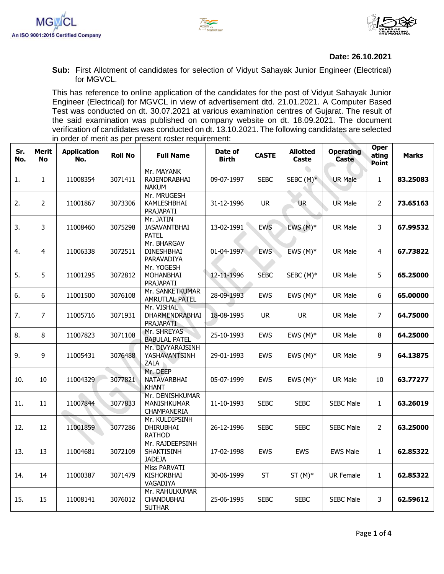





## **Date: 26.10.2021**

**Sub:** First Allotment of candidates for selection of Vidyut Sahayak Junior Engineer (Electrical) for MGVCL.

This has reference to online application of the candidates for the post of Vidyut Sahayak Junior Engineer (Electrical) for MGVCL in view of advertisement dtd. 21.01.2021. A Computer Based Test was conducted on dt. 30.07.2021 at various examination centres of Gujarat. The result of the said examination was published on company website on dt. 18.09.2021. The document verification of candidates was conducted on dt. 13.10.2021. The following candidates are selected in order of merit as per present roster requirement:

| Sr.<br>No. | Merit<br><b>No</b> | <b>Application</b><br>No. | <b>Roll No</b> | <b>Full Name</b>                                      | Date of<br><b>Birth</b> | <b>CASTE</b> | <b>Allotted</b><br>Caste | <b>Operating</b><br>Caste | <b>Oper</b><br>ating<br>Point | <b>Marks</b> |
|------------|--------------------|---------------------------|----------------|-------------------------------------------------------|-------------------------|--------------|--------------------------|---------------------------|-------------------------------|--------------|
| 1.         | $\mathbf{1}$       | 11008354                  | 3071411        | Mr. MAYANK<br>RAJENDRABHAI<br><b>NAKUM</b>            | 09-07-1997              | <b>SEBC</b>  | SEBC $(M)^*$             | <b>UR Male</b>            | $\mathbf{1}$                  | 83.25083     |
| 2.         | $\overline{2}$     | 11001867                  | 3073306        | Mr. MRUGESH<br>KAMLESHBHAI<br>PRAJAPATI               | 31-12-1996              | <b>UR</b>    | <b>UR</b>                | UR Male                   | $\overline{2}$                | 73.65163     |
| 3.         | $\overline{3}$     | 11008460                  | 3075298        | Mr. JATIN<br><b>JASAVANTBHAI</b><br><b>PATEL</b>      | 13-02-1991              | <b>EWS</b>   | EWS $(M)^*$              | UR Male                   | 3                             | 67.99532     |
| 4.         | $\overline{4}$     | 11006338                  | 3072511        | Mr. BHARGAV<br><b>DINESHBHAI</b><br>PARAVADIYA        | 01-04-1997              | <b>EWS</b>   | EWS $(M)^*$              | UR Male                   | 4                             | 67.73822     |
| 5.         | 5                  | 11001295                  | 3072812        | Mr. YOGESH<br>MOHANBHAI<br>PRAJAPATI                  | 12-11-1996              | <b>SEBC</b>  | SEBC (M)*                | UR Male                   | 5                             | 65.25000     |
| 6.         | $6\phantom{a}$     | 11001500                  | 3076108        | Mr. SANKETKUMAR<br><b>AMRUTLAL PATEL</b>              | 28-09-1993              | <b>EWS</b>   | EWS $(M)^*$              | <b>UR Male</b>            | 6                             | 65.00000     |
| 7.         | $\overline{7}$     | 11005716                  | 3071931        | Mr. VISHAL<br>DHARMENDRABHAI<br>PRAJAPATI             | 18-08-1995              | <b>UR</b>    | <b>UR</b>                | <b>UR Male</b>            | $\overline{7}$                | 64.75000     |
| 8.         | 8                  | 11007823                  | 3071108        | Mr. SHREYAS<br><b>BABULAL PATEL</b>                   | 25-10-1993              | <b>EWS</b>   | EWS $(M)^*$              | UR Male                   | 8                             | 64.25000     |
| 9.         | 9                  | 11005431                  | 3076488        | Mr. DIVYARAJSINH<br>YASHAVANTSINH<br>ZALA             | 29-01-1993              | EWS          | EWS $(M)^*$              | <b>UR Male</b>            | 9                             | 64.13875     |
| 10.        | 10                 | 11004329                  | 3077821        | Mr. DEEP<br>NATAVARBHAI<br><b>KHANT</b>               | 05-07-1999              | <b>EWS</b>   | EWS $(M)^*$              | UR Male                   | 10                            | 63.77277     |
| 11.        | 11                 | 11007844                  | 3077833        | Mr. DENISHKUMAR<br>MANISHKUMAR<br>CHAMPANERIA         | 11-10-1993              | <b>SEBC</b>  | <b>SEBC</b>              | <b>SEBC Male</b>          | $\mathbf{1}$                  | 63.26019     |
| 12.        | 12                 | 11001859                  | 3077286        | Mr. KULDIPSINH<br><b>DHIRUBHAI</b><br><b>RATHOD</b>   | 26-12-1996              | <b>SEBC</b>  | <b>SEBC</b>              | <b>SEBC Male</b>          | $\overline{2}$                | 63.25000     |
| 13.        | 13                 | 11004681                  | 3072109        | Mr. RAJDEEPSINH<br><b>SHAKTISINH</b><br><b>JADEJA</b> | 17-02-1998              | <b>EWS</b>   | <b>EWS</b>               | <b>EWS Male</b>           | $\mathbf{1}$                  | 62.85322     |
| 14.        | 14                 | 11000387                  | 3071479        | <b>Miss PARVATI</b><br><b>KISHORBHAI</b><br>VAGADIYA  | 30-06-1999              | <b>ST</b>    | $ST(M)^*$                | <b>UR Female</b>          | $\mathbf{1}$                  | 62.85322     |
| 15.        | 15                 | 11008141                  | 3076012        | Mr. RAHULKUMAR<br>CHANDUBHAI<br><b>SUTHAR</b>         | 25-06-1995              | <b>SEBC</b>  | <b>SEBC</b>              | <b>SEBC Male</b>          | 3                             | 62.59612     |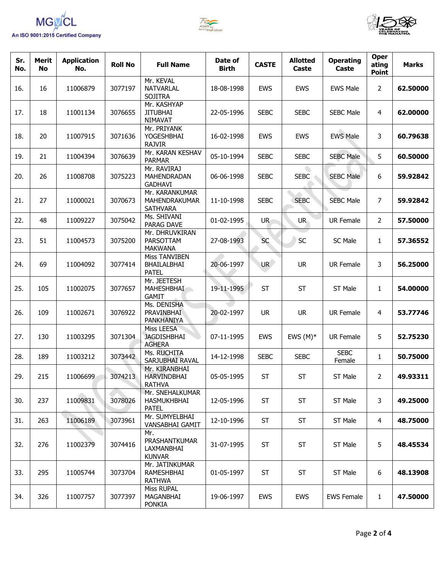





| Sr.<br>No. | <b>Merit</b><br><b>No</b> | <b>Application</b><br>No. | <b>Roll No</b> | <b>Full Name</b>                                     | Date of<br><b>Birth</b> | <b>CASTE</b>    | <b>Allotted</b><br>Caste | <b>Operating</b><br>Caste | <b>Oper</b><br>ating<br><b>Point</b> | <b>Marks</b> |
|------------|---------------------------|---------------------------|----------------|------------------------------------------------------|-------------------------|-----------------|--------------------------|---------------------------|--------------------------------------|--------------|
| 16.        | 16                        | 11006879                  | 3077197        | Mr. KEVAL<br><b>NATVARLAL</b><br><b>SOJITRA</b>      | 18-08-1998              | <b>EWS</b>      | <b>EWS</b>               | <b>EWS Male</b>           | $\overline{2}$                       | 62.50000     |
| 17.        | 18                        | 11001134                  | 3076655        | Mr. KASHYAP<br><b>JITUBHAI</b><br><b>NIMAVAT</b>     | 22-05-1996              | <b>SEBC</b>     | <b>SEBC</b>              | <b>SEBC Male</b>          | 4                                    | 62.00000     |
| 18.        | 20                        | 11007915                  | 3071636        | Mr. PRIYANK<br>YOGESHBHAI<br><b>RAJVIR</b>           | 16-02-1998              | <b>EWS</b>      | <b>EWS</b>               | <b>EWS Male</b>           | 3                                    | 60.79638     |
| 19.        | 21                        | 11004394                  | 3076639        | Mr. KARAN KESHAV<br><b>PARMAR</b>                    | 05-10-1994              | <b>SEBC</b>     | <b>SEBC</b>              | <b>SEBC Male</b>          | 5                                    | 60.50000     |
| 20.        | 26                        | 11008708                  | 3075223        | Mr. RAVIRAJ<br>MAHENDRADAN<br><b>GADHAVI</b>         | 06-06-1998              | <b>SEBC</b>     | <b>SEBC</b>              | <b>SEBC Male</b>          | 6                                    | 59.92842     |
| 21.        | 27                        | 11000021                  | 3070673        | Mr. KARANKUMAR<br>MAHENDRAKUMAR<br><b>SATHVARA</b>   | 11-10-1998              | <b>SEBC</b>     | <b>SEBC</b>              | <b>SEBC Male</b>          | 7                                    | 59.92842     |
| 22.        | 48                        | 11009227                  | 3075042        | Ms. SHIVANI<br>PARAG DAVE                            | 01-02-1995              | <b>UR</b>       | UR.                      | <b>UR Female</b>          | $\overline{2}$                       | 57.50000     |
| 23.        | 51                        | 11004573                  | 3075200        | Mr. DHRUVKIRAN<br>PARSOTTAM<br><b>MAKWANA</b>        | 27-08-1993              | <b>SC</b>       | <b>SC</b>                | SC Male                   | 1                                    | 57.36552     |
| 24.        | 69                        | 11004092                  | 3077414        | Miss TANVIBEN<br>BHAILALBHAI<br><b>PATEL</b>         | 20-06-1997              | UR <sub>/</sub> | <b>UR</b>                | <b>UR Female</b>          | 3                                    | 56.25000     |
| 25.        | 105                       | 11002075                  | 3077657        | Mr. JEETESH<br><b>MAHESHBHAI</b><br><b>GAMIT</b>     | 19-11-1995              | <b>ST</b>       | <b>ST</b>                | ST Male                   | 1                                    | 54.00000     |
| 26.        | 109                       | 11002671                  | 3076922        | Ms. DENISHA<br>PRAVINBHAI<br>PANKHANIYA              | 20-02-1997              | <b>UR</b>       | <b>UR</b>                | <b>UR Female</b>          | 4                                    | 53.77746     |
| 27.        | 130                       | 11003295                  | 3071304        | Miss LEESA<br><b>JAGDISHBHAI</b><br><b>AGHERA</b>    | 07-11-1995              | <b>EWS</b>      | EWS $(M)^*$              | <b>UR Female</b>          | 5                                    | 52.75230     |
| 28.        | 189                       | 11003212                  | 3073442        | Ms. RUCHITA<br>SARJUBHAI RAVAL                       | 14-12-1998              | <b>SEBC</b>     | <b>SEBC</b>              | <b>SEBC</b><br>Female     | 1                                    | 50.75000     |
| 29.        | 215                       | 11006699                  | 3074213        | Mr. KIRANBHAI<br><b>HARVINDBHAI</b><br><b>RATHVA</b> | 05-05-1995              | <b>ST</b>       | ST                       | ST Male                   | $\overline{2}$                       | 49.93311     |
| 30.        | 237                       | 11009831                  | 3078026        | Mr. SNEHALKUMAR<br>HASMUKHBHAI<br><b>PATEL</b>       | 12-05-1996              | <b>ST</b>       | <b>ST</b>                | ST Male                   | 3                                    | 49.25000     |
| 31.        | 263                       | 11006189                  | 3073961        | Mr. SUMYELBHAI<br>VANSABHAI GAMIT                    | 12-10-1996              | <b>ST</b>       | <b>ST</b>                | ST Male                   | $\overline{4}$                       | 48.75000     |
| 32.        | 276                       | 11002379                  | 3074416        | Mr.<br>PRASHANTKUMAR<br>LAXMANBHAI<br><b>KUNVAR</b>  | 31-07-1995              | <b>ST</b>       | <b>ST</b>                | ST Male                   | 5                                    | 48.45534     |
| 33.        | 295                       | 11005744                  | 3073704        | Mr. JATINKUMAR<br>RAMESHBHAI<br><b>RATHWA</b>        | 01-05-1997              | <b>ST</b>       | <b>ST</b>                | ST Male                   | 6                                    | 48.13908     |
| 34.        | 326                       | 11007757                  | 3077397        | Miss RUPAL<br>MAGANBHAI<br><b>PONKIA</b>             | 19-06-1997              | EWS             | <b>EWS</b>               | <b>EWS Female</b>         | $\mathbf{1}$                         | 47.50000     |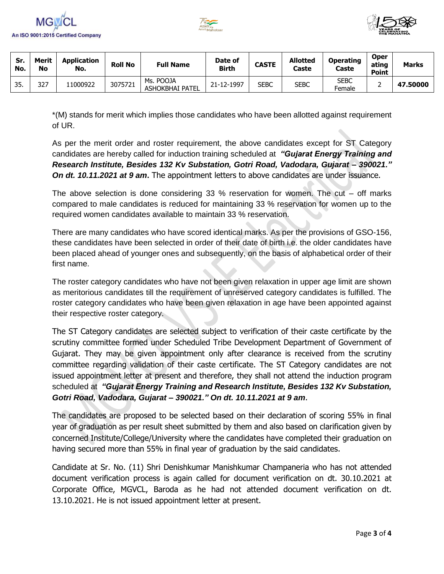





| Sr.<br>No. | Merit<br>No | <b>Application</b><br>No. | <b>Roll No</b> | <b>Full Name</b>             | Date of<br><b>Birth</b> | <b>CASTE</b> | <b>Allotted</b><br>Caste | <b>Operating</b><br>Caste | <b>Oper</b><br>ating<br><b>Point</b> | <b>Marks</b> |
|------------|-------------|---------------------------|----------------|------------------------------|-------------------------|--------------|--------------------------|---------------------------|--------------------------------------|--------------|
| 35.        | 327         | 1000922                   | 3075721        | Ms. POOJA<br>ASHOKBHAI PATEL | 21-12-1997              | SEBC         | <b>SEBC</b>              | <b>SEBC</b><br>Female     |                                      | 47.50000     |

\*(M) stands for merit which implies those candidates who have been allotted against requirement of UR.

As per the merit order and roster requirement, the above candidates except for ST Category candidates are hereby called for induction training scheduled at*"Gujarat Energy Training and Research Institute, Besides 132 Kv Substation, Gotri Road, Vadodara, Gujarat – 390021." On dt. 10.11.2021 at 9 am***.** The appointment letters to above candidates are under issuance.

The above selection is done considering 33 % reservation for women. The cut – off marks compared to male candidates is reduced for maintaining 33 % reservation for women up to the required women candidates available to maintain 33 % reservation.

There are many candidates who have scored identical marks. As per the provisions of GSO-156, these candidates have been selected in order of their date of birth i.e. the older candidates have been placed ahead of younger ones and subsequently, on the basis of alphabetical order of their first name.

The roster category candidates who have not been given relaxation in upper age limit are shown as meritorious candidates till the requirement of unreserved category candidates is fulfilled. The roster category candidates who have been given relaxation in age have been appointed against their respective roster category.

The ST Category candidates are selected subject to verification of their caste certificate by the scrutiny committee formed under Scheduled Tribe Development Department of Government of Gujarat. They may be given appointment only after clearance is received from the scrutiny committee regarding validation of their caste certificate. The ST Category candidates are not issued appointment letter at present and therefore, they shall not attend the induction program scheduled at*"Gujarat Energy Training and Research Institute, Besides 132 Kv Substation, Gotri Road, Vadodara, Gujarat – 390021." On dt. 10.11.2021 at 9 am*.

The candidates are proposed to be selected based on their declaration of scoring 55% in final year of graduation as per result sheet submitted by them and also based on clarification given by concerned Institute/College/University where the candidates have completed their graduation on having secured more than 55% in final year of graduation by the said candidates.

Candidate at Sr. No. (11) Shri Denishkumar Manishkumar Champaneria who has not attended document verification process is again called for document verification on dt. 30.10.2021 at Corporate Office, MGVCL, Baroda as he had not attended document verification on dt. 13.10.2021. He is not issued appointment letter at present.